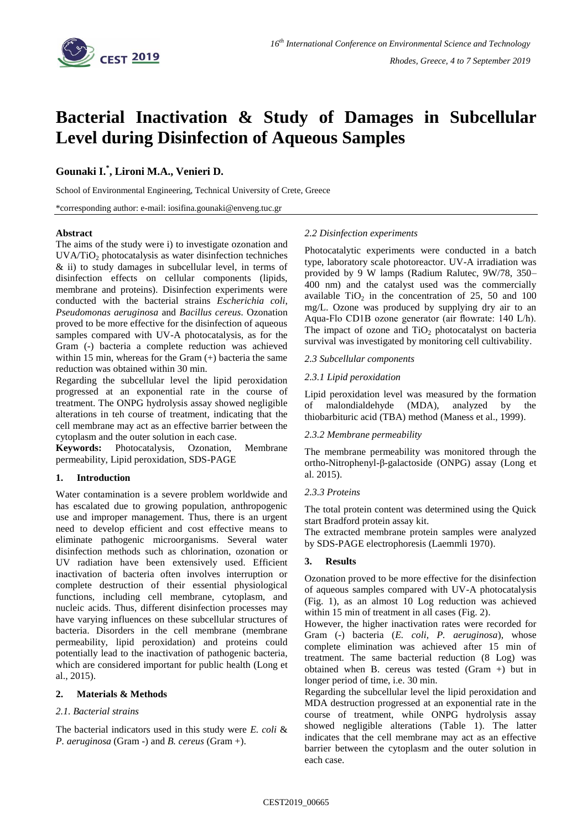

# **Bacterial Inactivation & Study of Damages in Subcellular Level during Disinfection of Aqueous Samples**

## **Gounaki I.\* , Lironi M.A., Venieri D.**

School of Environmental Engineering, Technical University of Crete, Greece

\*corresponding author: e-mail: iosifina.gounaki@enveng.tuc.gr

#### **Abstract**

The aims of the study were i) to investigate ozonation and  $UVA/TiO<sub>2</sub>$  photocatalysis as water disinfection techniches & ii) to study damages in subcellular level, in terms of disinfection effects on cellular components (lipids, membrane and proteins). Disinfection experiments were conducted with the bacterial strains *Escherichia coli*, *Pseudomonas aeruginosa* and *Bacillus cereus*. Ozonation proved to be more effective for the disinfection of aqueous samples compared with UV-A photocatalysis, as for the Gram (-) bacteria a complete reduction was achieved within 15 min, whereas for the Gram (+) bacteria the same reduction was obtained within 30 min.

Regarding the subcellular level the lipid peroxidation progressed at an exponential rate in the course of treatment. The ONPG hydrolysis assay showed negligible alterations in teh course of treatment, indicating that the cell membrane may act as an effective barrier between the cytoplasm and the outer solution in each case.

**Keywords:** Photocatalysis, Ozonation, Membrane permeability, Lipid peroxidation, SDS-PAGE

#### **1. Introduction**

Water contamination is a severe problem worldwide and has escalated due to growing population, anthropogenic use and improper management. Thus, there is an urgent need to develop efficient and cost effective means to eliminate pathogenic microorganisms. Several water disinfection methods such as chlorination, ozonation or UV radiation have been extensively used. Efficient inactivation of bacteria often involves interruption or complete destruction of their essential physiological functions, including cell membrane, cytoplasm, and nucleic acids. Thus, different disinfection processes may have varying influences on these subcellular structures of bacteria. Disorders in the cell membrane (membrane permeability, lipid peroxidation) and proteins could potentially lead to the inactivation of pathogenic bacteria, which are considered important for public health (Long et al., 2015).

### **2. Materials & Methods**

#### *2.1. Bacterial strains*

The bacterial indicators used in this study were *E. coli* & *P. aeruginosa* (Gram -) and *B. cereus* (Gram +).

#### *2.2 Disinfection experiments*

Photocatalytic experiments were conducted in a batch type, laboratory scale photoreactor. UV-A irradiation was provided by 9 W lamps (Radium Ralutec, 9W/78, 350– 400 nm) and the catalyst used was the commercially available  $TiO<sub>2</sub>$  in the concentration of 25, 50 and 100 mg/L. Ozone was produced by supplying dry air to an Aqua-Flo CD1B ozone generator (air flowrate: 140 L/h). The impact of ozone and  $TiO<sub>2</sub>$  photocatalyst on bacteria survival was investigated by monitoring cell cultivability.

#### *2.3 Subcellular components*

#### *2.3.1 Lipid peroxidation*

Lipid peroxidation level was measured by the formation of malondialdehyde (MDA), analyzed by the thiobarbituric acid (TBA) method (Maness et al., 1999).

#### *2.3.2 Membrane permeability*

The membrane permeability was monitored through the ortho-Nitrophenyl-β-galactoside (ONPG) assay (Long et al. 2015).

#### *2.3.3 Proteins*

The total protein content was determined using the Quick start Bradford protein assay kit.

The extracted membrane protein samples were analyzed by SDS-PAGE electrophoresis (Laemmli 1970).

#### **3. Results**

Ozonation proved to be more effective for the disinfection of aqueous samples compared with UV-A photocatalysis (Fig. 1), as an almost 10 Log reduction was achieved within 15 min of treatment in all cases (Fig. 2).

However, the higher inactivation rates were recorded for Gram (-) bacteria (*E. coli, P. aeruginosa*), whose complete elimination was achieved after 15 min of treatment. The same bacterial reduction (8 Log) was obtained when B. cereus was tested (Gram +) but in longer period of time, i.e. 30 min.

Regarding the subcellular level the lipid peroxidation and MDA destruction progressed at an exponential rate in the course of treatment, while ONPG hydrolysis assay showed negligible alterations (Table 1). The latter indicates that the cell membrane may act as an effective barrier between the cytoplasm and the outer solution in each case.